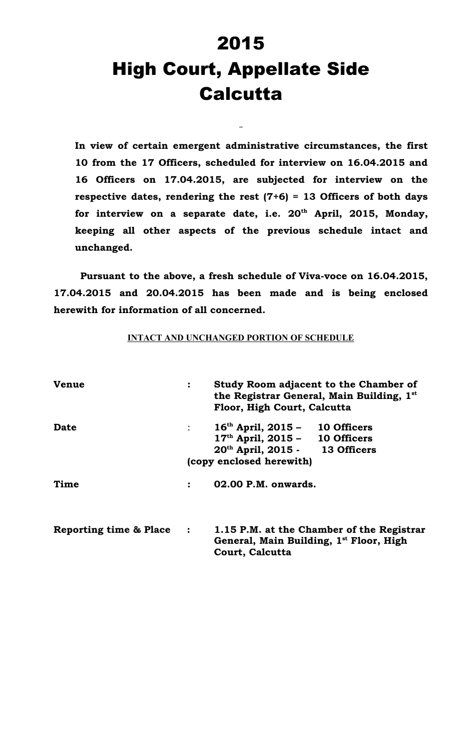# 2015 High Court, Appellate Side **Calcutta**

**In view of certain emergent administrative circumstances, the first 10 from the 17 Officers, scheduled for interview on 16.04.2015 and 16 Officers on 17.04.2015, are subjected for interview on the respective dates, rendering the rest (7+6) = 13 Officers of both days for interview on a separate date, i.e. 20th April, 2015, Monday, keeping all other aspects of the previous schedule intact and unchanged.**

**Pursuant to the above, a fresh schedule of Viva-voce on 16.04.2015, 17.04.2015 and 20.04.2015 has been made and is being enclosed herewith for information of all concerned.**

#### **INTACT AND UNCHANGED PORTION OF SCHEDULE**

| <b>Venue</b>           | $\ddot{\cdot}$                                          | Study Room adjacent to the Chamber of<br>the Registrar General, Main Building, 1st<br>Floor, High Court, Calcutta                    |  |
|------------------------|---------------------------------------------------------|--------------------------------------------------------------------------------------------------------------------------------------|--|
| Date                   | $\mathbb{Z}^{\mathbb{Z}}$ and $\mathbb{Z}^{\mathbb{Z}}$ | $16th$ April, 2015 - 10 Officers<br>$17th$ April, 2015 - 10 Officers<br>$20th$ April, 2015 - 13 Officers<br>(copy enclosed herewith) |  |
| Time                   | $\ddot{\cdot}$                                          | 02.00 P.M. onwards.                                                                                                                  |  |
| Reporting time & Place | $\ddot{\cdot}$                                          | 1.15 P.M. at the Chamber of the Registrar<br>General, Main Building, 1 <sup>st</sup> Floor, High<br>Court, Calcutta                  |  |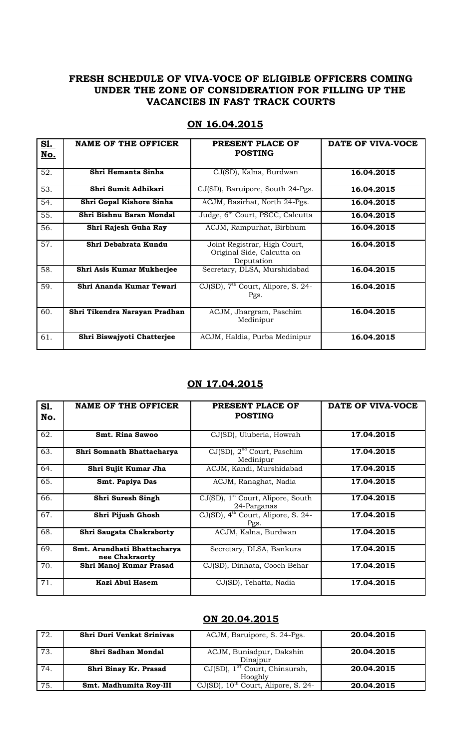#### **FRESH SCHEDULE OF VIVA-VOCE OF ELIGIBLE OFFICERS COMING UNDER THE ZONE OF CONSIDERATION FOR FILLING UP THE VACANCIES IN FAST TRACK COURTS**

| <u>S1.</u> | <b>NAME OF THE OFFICER</b>    | PRESENT PLACE OF                                                         | DATE OF VIVA-VOCE |
|------------|-------------------------------|--------------------------------------------------------------------------|-------------------|
| <u>No.</u> |                               | <b>POSTING</b>                                                           |                   |
|            |                               |                                                                          |                   |
| 52.        | Shri Hemanta Sinha            | CJ(SD), Kalna, Burdwan                                                   | 16.04.2015        |
| 53.        | Shri Sumit Adhikari           | CJ(SD), Baruipore, South 24-Pgs.                                         | 16.04.2015        |
| 54.        | Shri Gopal Kishore Sinha      | ACJM, Basirhat, North 24-Pgs.                                            | 16.04.2015        |
| 55.        | Shri Bishnu Baran Mondal      | Judge, 6 <sup>th</sup> Court, PSCC, Calcutta                             | 16.04.2015        |
| 56.        | Shri Rajesh Guha Ray          | ACJM, Rampurhat, Birbhum                                                 | 16.04.2015        |
| 57.        | Shri Debabrata Kundu          | Joint Registrar, High Court,<br>Original Side, Calcutta on<br>Deputation | 16.04.2015        |
| 58.        | Shri Asis Kumar Mukherjee     | Secretary, DLSA, Murshidabad                                             | 16.04.2015        |
| 59.        | Shri Ananda Kumar Tewari      | $CJ(SD)$ , $7th$ Court, Alipore, S. 24-<br>Pgs.                          | 16.04.2015        |
| 60.        | Shri Tikendra Narayan Pradhan | ACJM, Jhargram, Paschim<br>Medinipur                                     | 16.04.2015        |
| 61.        | Shri Biswajyoti Chatterjee    | ACJM, Haldia, Purba Medinipur                                            | 16.04.2015        |

### **ON 16.04.2015**

#### **ON 17.04.2015**

| S1.<br>No. | <b>NAME OF THE OFFICER</b>                    | PRESENT PLACE OF<br><b>POSTING</b>                              | DATE OF VIVA-VOCE |
|------------|-----------------------------------------------|-----------------------------------------------------------------|-------------------|
| 62.        | <b>Smt. Rina Sawoo</b>                        | CJ(SD), Uluberia, Howrah                                        | 17.04.2015        |
| 63.        | Shri Somnath Bhattacharya                     | $CJ(SD)$ , $2nd$ Court, Paschim<br>Medinipur                    | 17.04.2015        |
| 64.        | Shri Sujit Kumar Jha                          | ACJM, Kandi, Murshidabad                                        | 17.04.2015        |
| 65.        | Smt. Papiya Das                               | ACJM, Ranaghat, Nadia                                           | 17.04.2015        |
| 66.        | Shri Suresh Singh                             | $CJ(SD)$ , 1 <sup>st</sup> Court, Alipore, South<br>24-Parganas | 17.04.2015        |
| 67.        | Shri Pijush Ghosh                             | CJ(SD), 4 <sup>th</sup> Court, Alipore, S. 24-<br>Pgs.          | 17.04.2015        |
| 68.        | <b>Shri Saugata Chakraborty</b>               | ACJM, Kalna, Burdwan                                            | 17.04.2015        |
| 69.        | Smt. Arundhati Bhattacharya<br>nee Chakraorty | Secretary, DLSA, Bankura                                        | 17.04.2015        |
| 70.        | Shri Manoj Kumar Prasad                       | CJ(SD), Dinhata, Cooch Behar                                    | 17.04.2015        |
| 71.        | Kazi Abul Hasem                               | CJ(SD), Tehatta, Nadia                                          | 17.04.2015        |

#### **ON 20.04.2015**

| 72. | <b>Shri Duri Venkat Srinivas</b> | ACJM, Baruipore, S. 24-Pgs.                          | 20.04.2015 |
|-----|----------------------------------|------------------------------------------------------|------------|
| 73. | Shri Sadhan Mondal               | ACJM, Buniadpur, Dakshin<br>Dinajpur                 | 20.04.2015 |
| 74. | Shri Binay Kr. Prasad            | CJ(SD), 1 <sup>ST</sup> Court, Chinsurah,<br>Hooghly | 20.04.2015 |
| 75. | Smt. Madhumita Roy-III           | CJ(SD), 10 <sup>th</sup> Court, Alipore, S. 24-      | 20.04.2015 |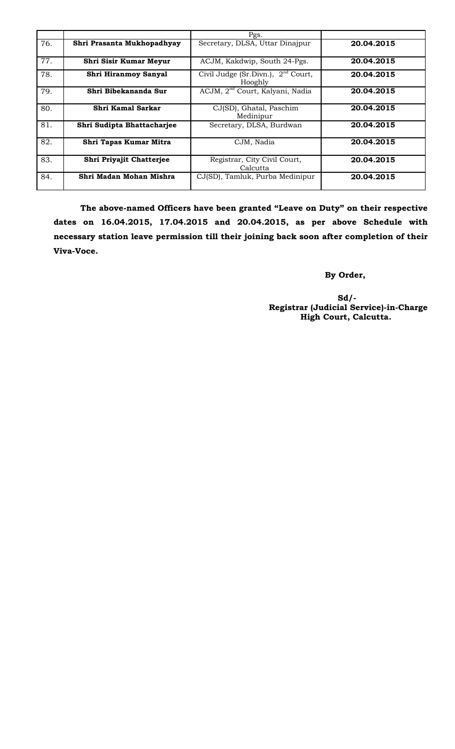|     |                               | Pgs.                                            |            |
|-----|-------------------------------|-------------------------------------------------|------------|
| 76. | Shri Prasanta Mukhopadhyay    | Secretary, DLSA, Uttar Dinajpur                 | 20.04.2015 |
| 77. | <b>Shri Sisir Kumar Meyur</b> | ACJM, Kakdwip, South 24-Pgs.                    | 20.04.2015 |
| 78. | Shri Hiranmoy Sanyal          | Civil Judge (Sr.Divn.), $2nd$ Court,<br>Hooghly | 20.04.2015 |
| 79. | Shri Bibekananda Sur          | ACJM, 2 <sup>nd</sup> Court, Kalyani, Nadia     | 20.04.2015 |
| 80. | Shri Kamal Sarkar             | CJ(SD), Ghatal, Paschim<br>Medinipur            | 20.04.2015 |
| 81. | Shri Sudipta Bhattacharjee    | Secretary, DLSA, Burdwan                        | 20.04.2015 |
| 82. | Shri Tapas Kumar Mitra        | CJM, Nadia                                      | 20.04.2015 |
| 83. | Shri Priyajit Chatterjee      | Registrar, City Civil Court,<br>Calcutta        | 20.04.2015 |
| 84. | Shri Madan Mohan Mishra       | CJ(SD), Tamluk, Purba Medinipur                 | 20.04.2015 |

**The above-named Officers have been granted "Leave on Duty" on their respective dates on 16.04.2015, 17.04.2015 and 20.04.2015, as per above Schedule with necessary station leave permission till their joining back soon after completion of their Viva-Voce.**

 **By Order,**

 **Sd/- Registrar (Judicial Service)-in-Charge High Court, Calcutta.**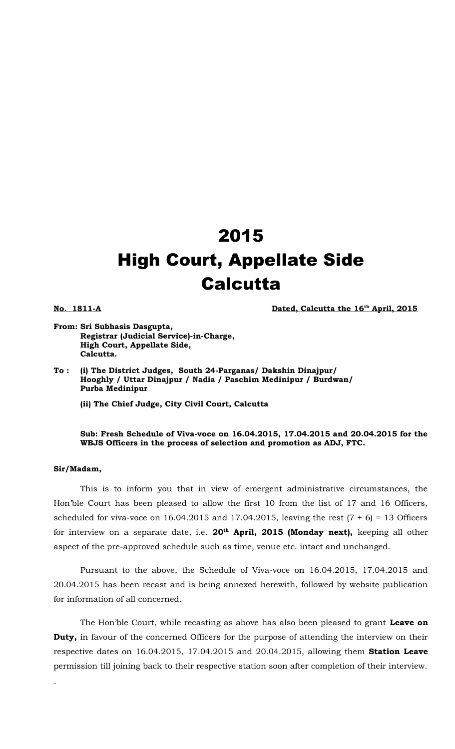## 2015 High Court, Appellate Side **Calcutta**

**No. 1811-A Dated, Calcutta the 16<sup>th</sup> April, 2015** 

- **From: Sri Subhasis Dasgupta, Registrar (Judicial Service)-in-Charge, High Court, Appellate Side, Calcutta.**
- **To : (i) The District Judges, South 24-Parganas/ Dakshin Dinajpur/ Hooghly / Uttar Dinajpur / Nadia / Paschim Medinipur / Burdwan/ Purba Medinipur**

**(ii) The Chief Judge, City Civil Court, Calcutta**

**Sub: Fresh Schedule of Viva-voce on 16.04.2015, 17.04.2015 and 20.04.2015 for the WBJS Officers in the process of selection and promotion as ADJ, FTC.**

#### **Sir/Madam,**

This is to inform you that in view of emergent administrative circumstances, the Hon'ble Court has been pleased to allow the first 10 from the list of 17 and 16 Officers, scheduled for viva-voce on 16.04.2015 and 17.04.2015, leaving the rest  $(7 + 6) = 13$  Officers for interview on a separate date, i.e. **20th April, 2015 (Monday next),** keeping all other aspect of the pre-approved schedule such as time, venue etc. intact and unchanged.

Pursuant to the above, the Schedule of Viva-voce on 16.04.2015, 17.04.2015 and 20.04.2015 has been recast and is being annexed herewith, followed by website publication for information of all concerned.

The Hon'ble Court, while recasting as above has also been pleased to grant **Leave on Duty,** in favour of the concerned Officers for the purpose of attending the interview on their respective dates on 16.04.2015, 17.04.2015 and 20.04.2015, allowing them **Station Leave** permission till joining back to their respective station soon after completion of their interview.